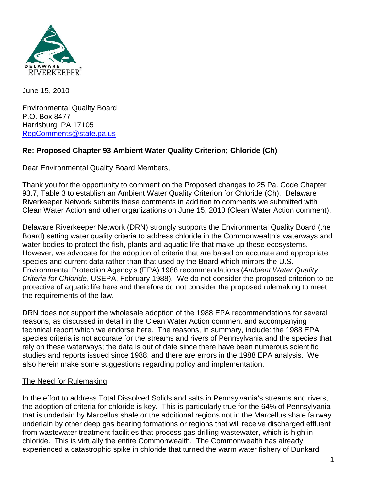

June 15, 2010

Environmental Quality Board P.O. Box 8477 Harrisburg, PA 17105 [RegComments@state.pa.us](mailto:RegComments@state.pa.us)

# **Re: Proposed Chapter 93 Ambient Water Quality Criterion; Chloride (Ch)**

Dear Environmental Quality Board Members,

Thank you for the opportunity to comment on the Proposed changes to 25 Pa. Code Chapter 93.7, Table 3 to establish an Ambient Water Quality Criterion for Chloride (Ch). Delaware Riverkeeper Network submits these comments in addition to comments we submitted with Clean Water Action and other organizations on June 15, 2010 (Clean Water Action comment).

Delaware Riverkeeper Network (DRN) strongly supports the Environmental Quality Board (the Board) setting water quality criteria to address chloride in the Commonwealth's waterways and water bodies to protect the fish, plants and aquatic life that make up these ecosystems. However, we advocate for the adoption of criteria that are based on accurate and appropriate species and current data rather than that used by the Board which mirrors the U.S. Environmental Protection Agency's (EPA) 1988 recommendations (*Ambient Water Quality Criteria for Chloride*, USEPA, February 1988). We do not consider the proposed criterion to be protective of aquatic life here and therefore do not consider the proposed rulemaking to meet the requirements of the law.

DRN does not support the wholesale adoption of the 1988 EPA recommendations for several reasons, as discussed in detail in the Clean Water Action comment and accompanying technical report which we endorse here. The reasons, in summary, include: the 1988 EPA species criteria is not accurate for the streams and rivers of Pennsylvania and the species that rely on these waterways; the data is out of date since there have been numerous scientific studies and reports issued since 1988; and there are errors in the 1988 EPA analysis. We also herein make some suggestions regarding policy and implementation.

### The Need for Rulemaking

In the effort to address Total Dissolved Solids and salts in Pennsylvania's streams and rivers, the adoption of criteria for chloride is key. This is particularly true for the 64% of Pennsylvania that is underlain by Marcellus shale or the additional regions not in the Marcellus shale fairway underlain by other deep gas bearing formations or regions that will receive discharged effluent from wastewater treatment facilities that process gas drilling wastewater, which is high in chloride. This is virtually the entire Commonwealth. The Commonwealth has already experienced a catastrophic spike in chloride that turned the warm water fishery of Dunkard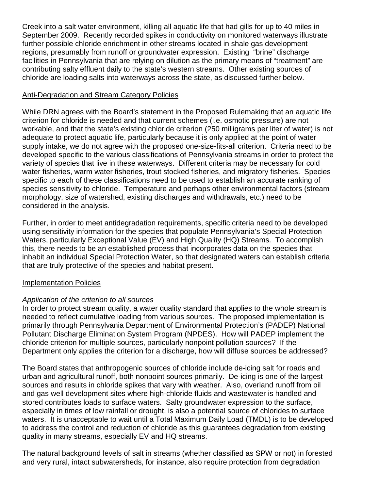Creek into a salt water environment, killing all aquatic life that had gills for up to 40 miles in September 2009. Recently recorded spikes in conductivity on monitored waterways illustrate further possible chloride enrichment in other streams located in shale gas development regions, presumably from runoff or groundwater expression. Existing "brine" discharge facilities in Pennsylvania that are relying on dilution as the primary means of "treatment" are contributing salty effluent daily to the state's western streams. Other existing sources of chloride are loading salts into waterways across the state, as discussed further below.

### Anti-Degradation and Stream Category Policies

While DRN agrees with the Board's statement in the Proposed Rulemaking that an aquatic life criterion for chloride is needed and that current schemes (i.e. osmotic pressure) are not workable, and that the state's existing chloride criterion (250 milligrams per liter of water) is not adequate to protect aquatic life, particularly because it is only applied at the point of water supply intake, we do not agree with the proposed one-size-fits-all criterion. Criteria need to be developed specific to the various classifications of Pennsylvania streams in order to protect the variety of species that live in these waterways. Different criteria may be necessary for cold water fisheries, warm water fisheries, trout stocked fisheries, and migratory fisheries. Species specific to each of these classifications need to be used to establish an accurate ranking of species sensitivity to chloride. Temperature and perhaps other environmental factors (stream morphology, size of watershed, existing discharges and withdrawals, etc.) need to be considered in the analysis.

Further, in order to meet antidegradation requirements, specific criteria need to be developed using sensitivity information for the species that populate Pennsylvania's Special Protection Waters, particularly Exceptional Value (EV) and High Quality (HQ) Streams. To accomplish this, there needs to be an established process that incorporates data on the species that inhabit an individual Special Protection Water, so that designated waters can establish criteria that are truly protective of the species and habitat present.

### Implementation Policies

### *Application of the criterion to all sources*

In order to protect stream quality, a water quality standard that applies to the whole stream is needed to reflect cumulative loading from various sources. The proposed implementation is primarily through Pennsylvania Department of Environmental Protection's (PADEP) National Pollutant Discharge Elimination System Program (NPDES). How will PADEP implement the chloride criterion for multiple sources, particularly nonpoint pollution sources? If the Department only applies the criterion for a discharge, how will diffuse sources be addressed?

The Board states that anthropogenic sources of chloride include de-icing salt for roads and urban and agricultural runoff, both nonpoint sources primarily. De-icing is one of the largest sources and results in chloride spikes that vary with weather. Also, overland runoff from oil and gas well development sites where high-chloride fluids and wastewater is handled and stored contributes loads to surface waters. Salty groundwater expression to the surface, especially in times of low rainfall or drought, is also a potential source of chlorides to surface waters. It is unacceptable to wait until a Total Maximum Daily Load (TMDL) is to be developed to address the control and reduction of chloride as this guarantees degradation from existing quality in many streams, especially EV and HQ streams.

The natural background levels of salt in streams (whether classified as SPW or not) in forested and very rural, intact subwatersheds, for instance, also require protection from degradation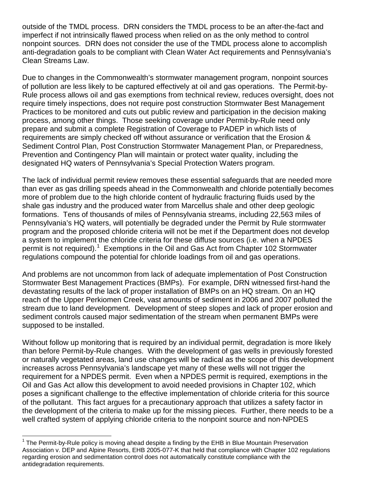outside of the TMDL process. DRN considers the TMDL process to be an after-the-fact and imperfect if not intrinsically flawed process when relied on as the only method to control nonpoint sources. DRN does not consider the use of the TMDL process alone to accomplish anti-degradation goals to be compliant with Clean Water Act requirements and Pennsylvania's Clean Streams Law.

Due to changes in the Commonwealth's stormwater management program, nonpoint sources of pollution are less likely to be captured effectively at oil and gas operations. The Permit-by-Rule process allows oil and gas exemptions from technical review, reduces oversight, does not require timely inspections, does not require post construction Stormwater Best Management Practices to be monitored and cuts out public review and participation in the decision making process, among other things. Those seeking coverage under Permit-by-Rule need only prepare and submit a complete Registration of Coverage to PADEP in which lists of requirements are simply checked off without assurance or verification that the Erosion & Sediment Control Plan, Post Construction Stormwater Management Plan, or Preparedness, Prevention and Contingency Plan will maintain or protect water quality, including the designated HQ waters of Pennsylvania's Special Protection Waters program.

The lack of individual permit review removes these essential safeguards that are needed more than ever as gas drilling speeds ahead in the Commonwealth and chloride potentially becomes more of problem due to the high chloride content of hydraulic fracturing fluids used by the shale gas industry and the produced water from Marcellus shale and other deep geologic formations. Tens of thousands of miles of Pennsylvania streams, including 22,563 miles of Pennsylvania's HQ waters, will potentially be degraded under the Permit by Rule stormwater program and the proposed chloride criteria will not be met if the Department does not develop a system to implement the chloride criteria for these diffuse sources (i.e. when a NPDES permit is not required).<sup>[1](#page-2-0)</sup> Exemptions in the Oil and Gas Act from Chapter 102 Stormwater regulations compound the potential for chloride loadings from oil and gas operations.

And problems are not uncommon from lack of adequate implementation of Post Construction Stormwater Best Management Practices (BMPs). For example, DRN witnessed first-hand the devastating results of the lack of proper installation of BMPs on an HQ stream. On an HQ reach of the Upper Perkiomen Creek, vast amounts of sediment in 2006 and 2007 polluted the stream due to land development. Development of steep slopes and lack of proper erosion and sediment controls caused major sedimentation of the stream when permanent BMPs were supposed to be installed.

Without follow up monitoring that is required by an individual permit, degradation is more likely than before Permit-by-Rule changes. With the development of gas wells in previously forested or naturally vegetated areas, land use changes will be radical as the scope of this development increases across Pennsylvania's landscape yet many of these wells will not trigger the requirement for a NPDES permit. Even when a NPDES permit is required, exemptions in the Oil and Gas Act allow this development to avoid needed provisions in Chapter 102, which poses a significant challenge to the effective implementation of chloride criteria for this source of the pollutant. This fact argues for a precautionary approach that utilizes a safety factor in the development of the criteria to make up for the missing pieces. Further, there needs to be a well crafted system of applying chloride criteria to the nonpoint source and non-NPDES

<span id="page-2-0"></span> $1$  The Permit-by-Rule policy is moving ahead despite a finding by the EHB in Blue Mountain Preservation Association v. DEP and Alpine Resorts, EHB 2005-077-K that held that compliance with Chapter 102 regulations regarding erosion and sedimentation control does not automatically constitute compliance with the antidegradation requirements.